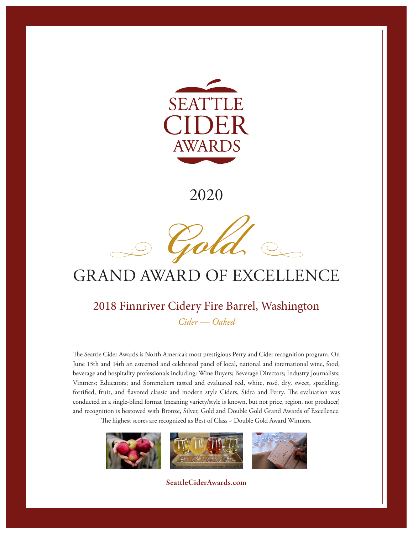



# GRAND AWARD OF EXCELLENCE

#### 2018 Finnriver Cidery Fire Barrel, Washington *Cider — Oaked*

The Seattle Cider Awards is North America's most prestigious Perry and Cider recognition program. On June 13th and 14th an esteemed and celebrated panel of local, national and international wine, food, beverage and hospitality professionals including: Wine Buyers; Beverage Directors; Industry Journalists; Vintners; Educators; and Sommeliers tasted and evaluated red, white, rosé, dry, sweet, sparkling, fortified, fruit, and flavored classic and modern style Ciders, Sidra and Perry. The evaluation was conducted in a single-blind format (meaning variety/style is known, but not price, region, nor producer) and recognition is bestowed with Bronze, Silver, Gold and Double Gold Grand Awards of Excellence.

The highest scores are recognized as Best of Class ~ Double Gold Award Winners.

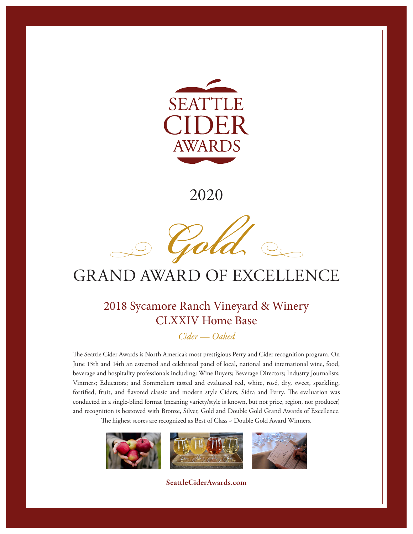



# GRAND AWARD OF EXCELLENCE

### 2018 Sycamore Ranch Vineyard & Winery CLXXIV Home Base

*Cider — Oaked*

The Seattle Cider Awards is North America's most prestigious Perry and Cider recognition program. On June 13th and 14th an esteemed and celebrated panel of local, national and international wine, food, beverage and hospitality professionals including: Wine Buyers; Beverage Directors; Industry Journalists; Vintners; Educators; and Sommeliers tasted and evaluated red, white, rosé, dry, sweet, sparkling, fortified, fruit, and flavored classic and modern style Ciders, Sidra and Perry. The evaluation was conducted in a single-blind format (meaning variety/style is known, but not price, region, nor producer) and recognition is bestowed with Bronze, Silver, Gold and Double Gold Grand Awards of Excellence.

The highest scores are recognized as Best of Class ~ Double Gold Award Winners.

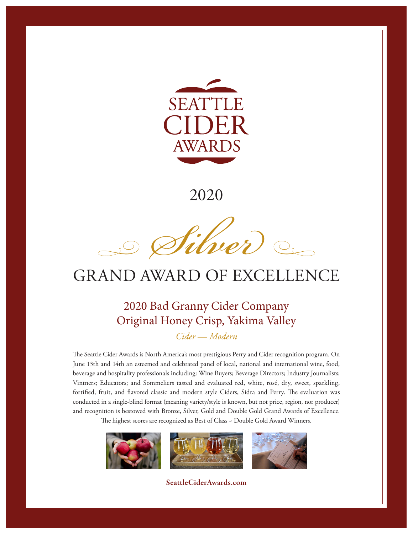

*Sive*  $\begin{picture}(120,10) \put(0,0){\line(1,0){10}} \put(15,0){\line(1,0){10}} \put(15,0){\line(1,0){10}} \put(15,0){\line(1,0){10}} \put(15,0){\line(1,0){10}} \put(15,0){\line(1,0){10}} \put(15,0){\line(1,0){10}} \put(15,0){\line(1,0){10}} \put(15,0){\line(1,0){10}} \put(15,0){\line(1,0){10}} \put(15,0){\line(1,0){10}} \put(15,0){\line($ 

# GRAND AWARD OF EXCELLENCE

### 2020 Bad Granny Cider Company Original Honey Crisp, Yakima Valley

*Cider — Modern* 

The Seattle Cider Awards is North America's most prestigious Perry and Cider recognition program. On June 13th and 14th an esteemed and celebrated panel of local, national and international wine, food, beverage and hospitality professionals including: Wine Buyers; Beverage Directors; Industry Journalists; Vintners; Educators; and Sommeliers tasted and evaluated red, white, rosé, dry, sweet, sparkling, fortified, fruit, and flavored classic and modern style Ciders, Sidra and Perry. The evaluation was conducted in a single-blind format (meaning variety/style is known, but not price, region, nor producer) and recognition is bestowed with Bronze, Silver, Gold and Double Gold Grand Awards of Excellence.

The highest scores are recognized as Best of Class ~ Double Gold Award Winners.

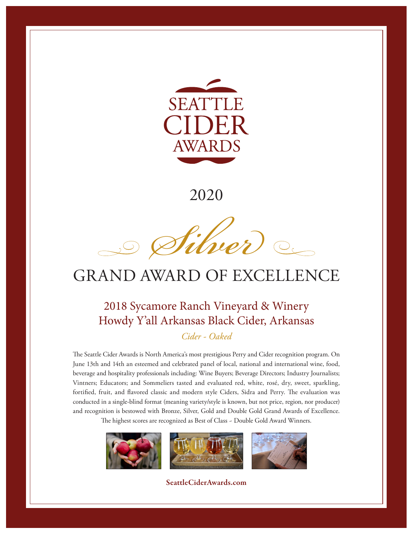

*Sive*  $\bigcirc$ 

## GRAND AWARD OF EXCELLENCE

### 2018 Sycamore Ranch Vineyard & Winery Howdy Y'all Arkansas Black Cider, Arkansas

*Cider - Oaked* 

The Seattle Cider Awards is North America's most prestigious Perry and Cider recognition program. On June 13th and 14th an esteemed and celebrated panel of local, national and international wine, food, beverage and hospitality professionals including: Wine Buyers; Beverage Directors; Industry Journalists; Vintners; Educators; and Sommeliers tasted and evaluated red, white, rosé, dry, sweet, sparkling, fortified, fruit, and flavored classic and modern style Ciders, Sidra and Perry. The evaluation was conducted in a single-blind format (meaning variety/style is known, but not price, region, nor producer) and recognition is bestowed with Bronze, Silver, Gold and Double Gold Grand Awards of Excellence.

The highest scores are recognized as Best of Class ~ Double Gold Award Winners.

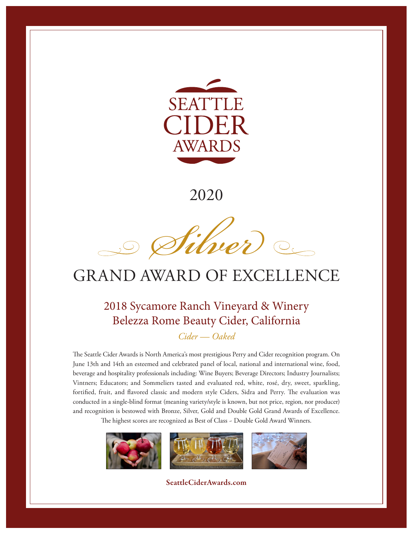

*Sive*  $\begin{picture}(120,10) \put(0,0){\line(1,0){10}} \put(15,0){\line(1,0){10}} \put(15,0){\line(1,0){10}} \put(15,0){\line(1,0){10}} \put(15,0){\line(1,0){10}} \put(15,0){\line(1,0){10}} \put(15,0){\line(1,0){10}} \put(15,0){\line(1,0){10}} \put(15,0){\line(1,0){10}} \put(15,0){\line(1,0){10}} \put(15,0){\line(1,0){10}} \put(15,0){\line($ 

## GRAND AWARD OF EXCELLENCE

### 2018 Sycamore Ranch Vineyard & Winery Belezza Rome Beauty Cider, California

*Cider — Oaked*

The Seattle Cider Awards is North America's most prestigious Perry and Cider recognition program. On June 13th and 14th an esteemed and celebrated panel of local, national and international wine, food, beverage and hospitality professionals including: Wine Buyers; Beverage Directors; Industry Journalists; Vintners; Educators; and Sommeliers tasted and evaluated red, white, rosé, dry, sweet, sparkling, fortified, fruit, and flavored classic and modern style Ciders, Sidra and Perry. The evaluation was conducted in a single-blind format (meaning variety/style is known, but not price, region, nor producer) and recognition is bestowed with Bronze, Silver, Gold and Double Gold Grand Awards of Excellence.

The highest scores are recognized as Best of Class ~ Double Gold Award Winners.

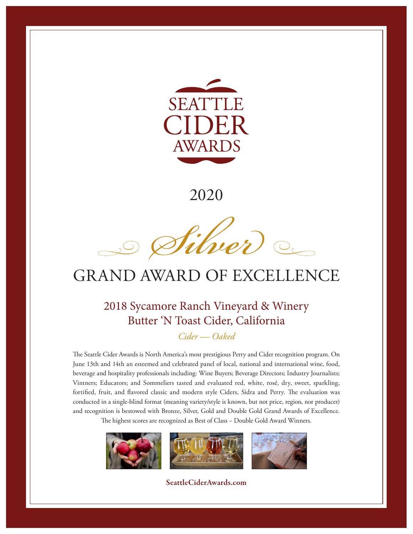

*Sive*  $\begin{picture}(120,10) \put(0,0){\line(1,0){10}} \put(15,0){\line(1,0){10}} \put(15,0){\line(1,0){10}} \put(15,0){\line(1,0){10}} \put(15,0){\line(1,0){10}} \put(15,0){\line(1,0){10}} \put(15,0){\line(1,0){10}} \put(15,0){\line(1,0){10}} \put(15,0){\line(1,0){10}} \put(15,0){\line(1,0){10}} \put(15,0){\line(1,0){10}} \put(15,0){\line($ 

## GRAND AWARD OF EXCELLENCE

### 2018 Sycamore Ranch Vineyard & Winery Butter 'N Toast Cider, California

*Cider — Oaked*

The Seattle Cider Awards is North America's most prestigious Perry and Cider recognition program. On June 13th and 14th an esteemed and celebrated panel of local, national and international wine, food, beverage and hospitality professionals including: Wine Buyers; Beverage Directors; Industry Journalists; Vintners; Educators; and Sommeliers tasted and evaluated red, white, rosé, dry, sweet, sparkling, fortified, fruit, and flavored classic and modern style Ciders, Sidra and Perry. The evaluation was conducted in a single-blind format (meaning variety/style is known, but not price, region, nor producer) and recognition is bestowed with Bronze, Silver, Gold and Double Gold Grand Awards of Excellence.

The highest scores are recognized as Best of Class ~ Double Gold Award Winners.

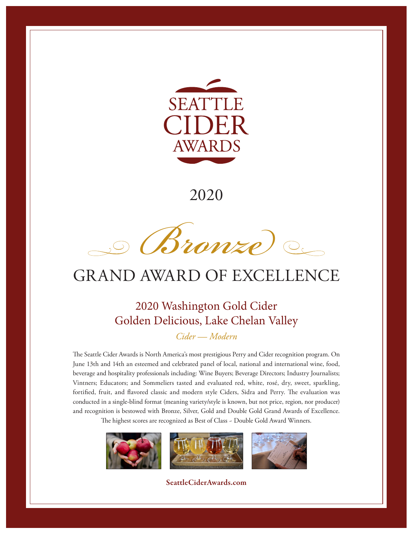

*Bronze*

## GRAND AWARD OF EXCELLENCE

### 2020 Washington Gold Cider Golden Delicious, Lake Chelan Valley

*Cider — Modern*

The Seattle Cider Awards is North America's most prestigious Perry and Cider recognition program. On June 13th and 14th an esteemed and celebrated panel of local, national and international wine, food, beverage and hospitality professionals including: Wine Buyers; Beverage Directors; Industry Journalists; Vintners; Educators; and Sommeliers tasted and evaluated red, white, rosé, dry, sweet, sparkling, fortified, fruit, and flavored classic and modern style Ciders, Sidra and Perry. The evaluation was conducted in a single-blind format (meaning variety/style is known, but not price, region, nor producer) and recognition is bestowed with Bronze, Silver, Gold and Double Gold Grand Awards of Excellence.

The highest scores are recognized as Best of Class ~ Double Gold Award Winners.

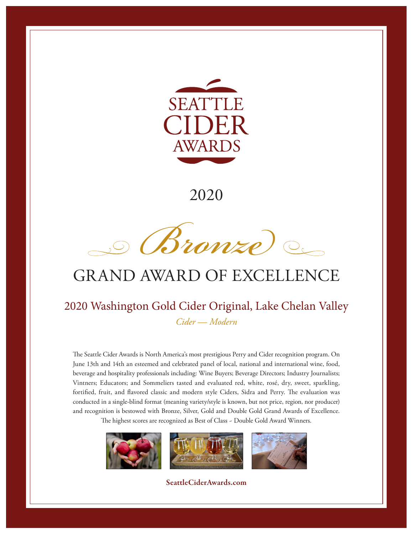

*Bronze*

## GRAND AWARD OF EXCELLENCE

#### 2020 Washington Gold Cider Original, Lake Chelan Valley *Cider — Modern*

The Seattle Cider Awards is North America's most prestigious Perry and Cider recognition program. On June 13th and 14th an esteemed and celebrated panel of local, national and international wine, food, beverage and hospitality professionals including: Wine Buyers; Beverage Directors; Industry Journalists; Vintners; Educators; and Sommeliers tasted and evaluated red, white, rosé, dry, sweet, sparkling, fortified, fruit, and flavored classic and modern style Ciders, Sidra and Perry. The evaluation was conducted in a single-blind format (meaning variety/style is known, but not price, region, nor producer) and recognition is bestowed with Bronze, Silver, Gold and Double Gold Grand Awards of Excellence.

The highest scores are recognized as Best of Class ~ Double Gold Award Winners.

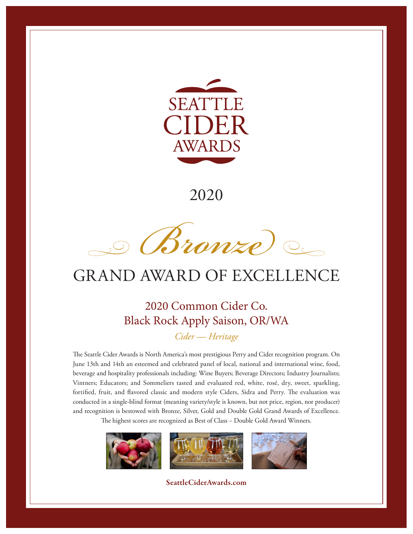

*Bronze*

# GRAND AWARD OF EXCELLENCE

#### 2020 Common Cider Co. Black Rock Apply Saison, OR/WA *Cider — Heritage*

The Seattle Cider Awards is North America's most prestigious Perry and Cider recognition program. On June 13th and 14th an esteemed and celebrated panel of local, national and international wine, food, beverage and hospitality professionals including: Wine Buyers; Beverage Directors; Industry Journalists; Vintners; Educators; and Sommeliers tasted and evaluated red, white, rosé, dry, sweet, sparkling, fortified, fruit, and flavored classic and modern style Ciders, Sidra and Perry. The evaluation was conducted in a single-blind format (meaning variety/style is known, but not price, region, nor producer) and recognition is bestowed with Bronze, Silver, Gold and Double Gold Grand Awards of Excellence.

The highest scores are recognized as Best of Class ~ Double Gold Award Winners.

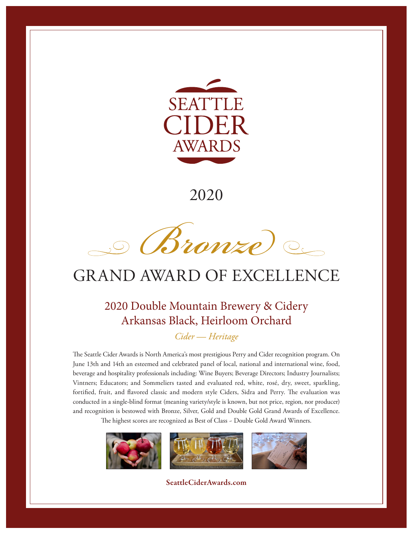

*Bronze*

## GRAND AWARD OF EXCELLENCE

### 2020 Double Mountain Brewery & Cidery Arkansas Black, Heirloom Orchard

*Cider — Heritage*

The Seattle Cider Awards is North America's most prestigious Perry and Cider recognition program. On June 13th and 14th an esteemed and celebrated panel of local, national and international wine, food, beverage and hospitality professionals including: Wine Buyers; Beverage Directors; Industry Journalists; Vintners; Educators; and Sommeliers tasted and evaluated red, white, rosé, dry, sweet, sparkling, fortified, fruit, and flavored classic and modern style Ciders, Sidra and Perry. The evaluation was conducted in a single-blind format (meaning variety/style is known, but not price, region, nor producer) and recognition is bestowed with Bronze, Silver, Gold and Double Gold Grand Awards of Excellence.

The highest scores are recognized as Best of Class ~ Double Gold Award Winners.

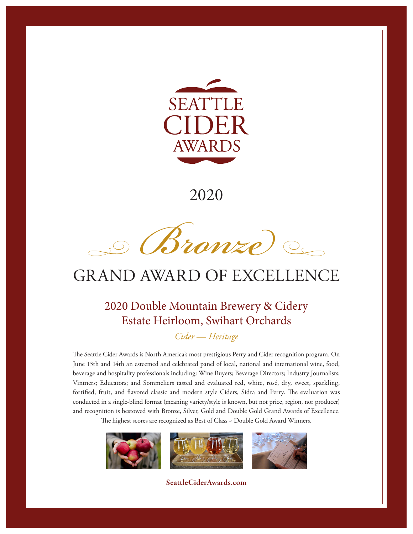

*Bronze*

## GRAND AWARD OF EXCELLENCE

### 2020 Double Mountain Brewery & Cidery Estate Heirloom, Swihart Orchards

*Cider — Heritage*

The Seattle Cider Awards is North America's most prestigious Perry and Cider recognition program. On June 13th and 14th an esteemed and celebrated panel of local, national and international wine, food, beverage and hospitality professionals including: Wine Buyers; Beverage Directors; Industry Journalists; Vintners; Educators; and Sommeliers tasted and evaluated red, white, rosé, dry, sweet, sparkling, fortified, fruit, and flavored classic and modern style Ciders, Sidra and Perry. The evaluation was conducted in a single-blind format (meaning variety/style is known, but not price, region, nor producer) and recognition is bestowed with Bronze, Silver, Gold and Double Gold Grand Awards of Excellence.

The highest scores are recognized as Best of Class ~ Double Gold Award Winners.

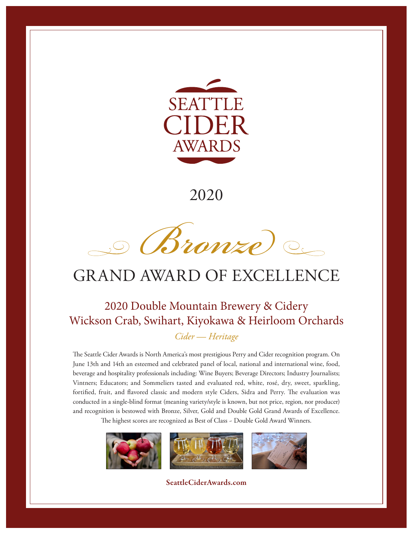

*Bronze*

## GRAND AWARD OF EXCELLENCE

### 2020 Double Mountain Brewery & Cidery Wickson Crab, Swihart, Kiyokawa & Heirloom Orchards

*Cider — Heritage*

The Seattle Cider Awards is North America's most prestigious Perry and Cider recognition program. On June 13th and 14th an esteemed and celebrated panel of local, national and international wine, food, beverage and hospitality professionals including: Wine Buyers; Beverage Directors; Industry Journalists; Vintners; Educators; and Sommeliers tasted and evaluated red, white, rosé, dry, sweet, sparkling, fortified, fruit, and flavored classic and modern style Ciders, Sidra and Perry. The evaluation was conducted in a single-blind format (meaning variety/style is known, but not price, region, nor producer) and recognition is bestowed with Bronze, Silver, Gold and Double Gold Grand Awards of Excellence.

The highest scores are recognized as Best of Class ~ Double Gold Award Winners.

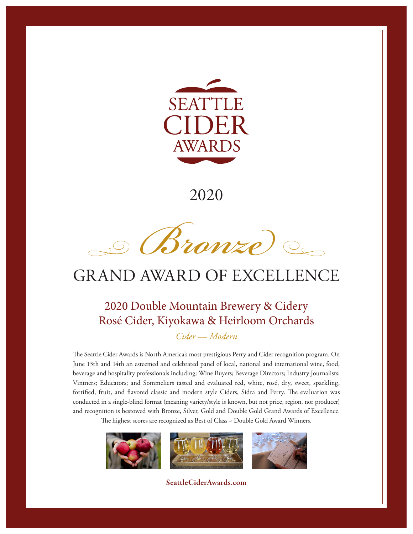

*Bronze*

## GRAND AWARD OF EXCELLENCE

### 2020 Double Mountain Brewery & Cidery Rosé Cider, Kiyokawa & Heirloom Orchards

*Cider — Modern*

The Seattle Cider Awards is North America's most prestigious Perry and Cider recognition program. On June 13th and 14th an esteemed and celebrated panel of local, national and international wine, food, beverage and hospitality professionals including: Wine Buyers; Beverage Directors; Industry Journalists; Vintners; Educators; and Sommeliers tasted and evaluated red, white, rosé, dry, sweet, sparkling, fortified, fruit, and flavored classic and modern style Ciders, Sidra and Perry. The evaluation was conducted in a single-blind format (meaning variety/style is known, but not price, region, nor producer) and recognition is bestowed with Bronze, Silver, Gold and Double Gold Grand Awards of Excellence.

The highest scores are recognized as Best of Class ~ Double Gold Award Winners.